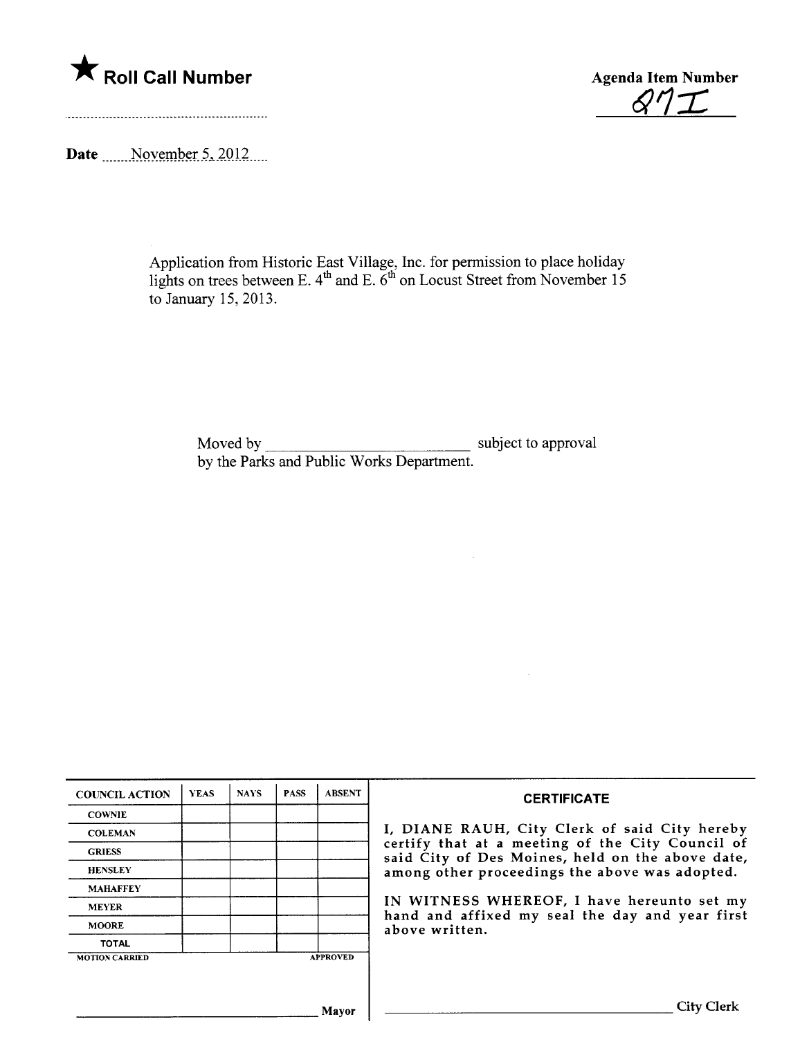

 $\alpha$ 

Date  $\frac{\text{November 5, 2012}}{\text{m}}$ 

Application from Historic East Vilage, Inc. for permission to place holiday lights on trees between E.  $4^{\omega}$  and E.  $6^{\omega}$  on Locust Street from November 15 to January 15, 2013.

> Moved by subj ect to approval by the Parks and Public Works Department.

| <b>COUNCIL ACTION</b> | <b>YEAS</b> | <b>NAYS</b> | <b>PASS</b> | <b>ABSENT</b>   | <b>CERTIFICATE</b>                                                                                   |
|-----------------------|-------------|-------------|-------------|-----------------|------------------------------------------------------------------------------------------------------|
| <b>COWNIE</b>         |             |             |             |                 |                                                                                                      |
| <b>COLEMAN</b>        |             |             |             |                 | I, DIANE RAUH, City Clerk of said City hereby                                                        |
| <b>GRIESS</b>         |             |             |             |                 | certify that at a meeting of the City Council of<br>said City of Des Moines, held on the above date, |
| <b>HENSLEY</b>        |             |             |             |                 | among other proceedings the above was adopted.                                                       |
| <b>MAHAFFEY</b>       |             |             |             |                 |                                                                                                      |
| <b>MEYER</b>          |             |             |             |                 | IN WITNESS WHEREOF, I have hereunto set my<br>hand and affixed my seal the day and year first        |
| <b>MOORE</b>          |             |             |             |                 | above written.                                                                                       |
| <b>TOTAL</b>          |             |             |             |                 |                                                                                                      |
| <b>MOTION CARRIED</b> |             |             |             | <b>APPROVED</b> |                                                                                                      |
|                       |             |             |             |                 |                                                                                                      |
|                       |             |             |             |                 |                                                                                                      |
|                       |             |             |             | Mavor           | City Clerk                                                                                           |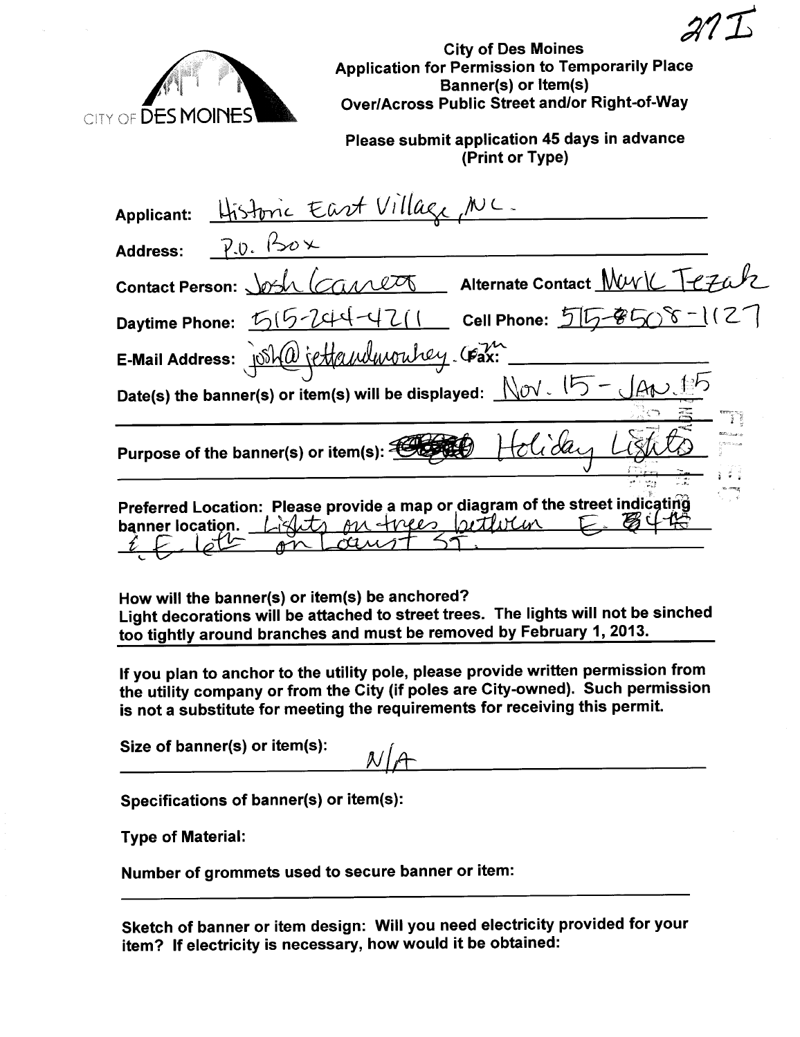

City of Des Moines Application for Permission to Temporarily Place Banner(s) or Item(s) Over/Across Public Street and/or Right-of-Way  $27L$ 

Please submit application 45 days in advance (Print or Type)

| Applicant: Historic East Village, NC.                                                                                      |  |  |  |  |  |  |  |
|----------------------------------------------------------------------------------------------------------------------------|--|--|--|--|--|--|--|
| Address: $\overline{P} \cdot D \cdot B \times$                                                                             |  |  |  |  |  |  |  |
| Alternate Contact MUVIC Tezak<br>Contact Person: Josh Canet                                                                |  |  |  |  |  |  |  |
| Daytime Phone: 515-244-4211 cell Phone: 515-8508-1127                                                                      |  |  |  |  |  |  |  |
| E-Mail Address: josh@jettanulmontey. Gax:                                                                                  |  |  |  |  |  |  |  |
| Date(s) the banner(s) or item(s) will be displayed: $\sqrt{\gamma \sqrt{2}}$ (5 - $\sqrt{\gamma}$                          |  |  |  |  |  |  |  |
| Holida<br>Purpose of the banner(s) or item(s): 2005                                                                        |  |  |  |  |  |  |  |
| Preferred Location: Please provide a map or diagram of the street indicating<br>sights on types better<br>banner location. |  |  |  |  |  |  |  |

How will the banner(s) or item(s) be anchored? Light decorations will be attached to street trees. The lights will not be sinched too tightly around branches and must be removed by February 1,2013.

If you plan to anchor to the utilty pole, please provide written permission from the utilty company or from the City (if poles are City-owned). Such permission is not a substitute for meeting the requirements for receiving this permit.

Size of banner(s) or item(s):

 $N/f$ 

Specifications of banner(s) or item(s):

Type of Material:

Number of grommets used to secure banner or item:

Sketch of banner or item design: Wil you need electricity provided for your item? If electricity is necessary, how would it be obtained: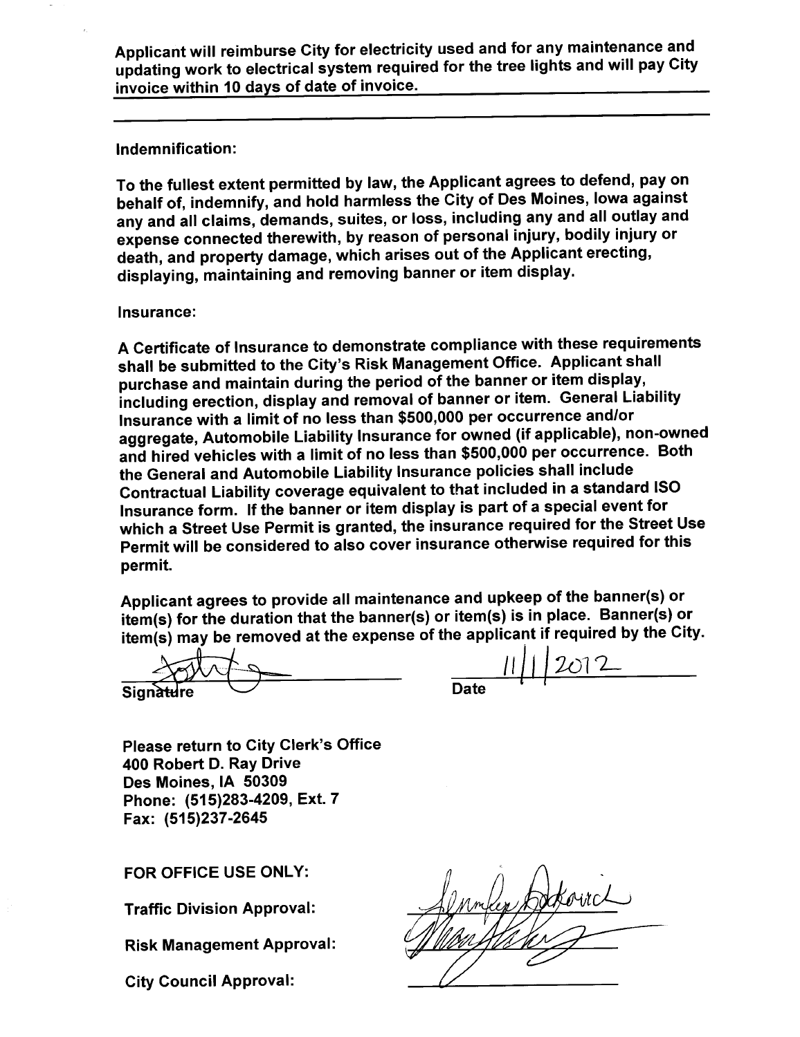Applicant will reimburse City for electricity used and for any maintenance and updating work to electrical system required for the tree lights and wil pay City invoice within 10 days of date of invoice.

Indemnification:

To the fullest extent permitted by law, the Applicant agrees to defend, pay on behalf of, indemnify, and hold harmless the City of Des Moines, Iowa against any and all claims, demands, suites, or loss, including any and all outlay and expense connected therewith, by reason of personal injury, bodily injury or death, and property damage, which arises out of the Applicant erecting, displaying, maintaining and removing banner or item display.

Insurance:

A Certificate of Insurance to demonstrate compliance with these requirements shall be submitted to the City's Risk Management Office. Applicant shall purchase and maintain during the period of the banner or item display, including erection, display and removal of banner or item. General Liabilty Insurance with a limit of no less than \$500,000 per occurrence and/or aggregate, Automobile Liabilty Insurance for owned (if applicable), non-owned and hired vehicles with a limit of no less than \$500,000 per occurrence. Both the General and Automobile Liability Insurance policies shall include Contractual Liability coverage equivalent to that included in a standard ISO Insurance form. If the banner or item display is part of a special event for which a Street Use Permit is granted, the insurance required for the Street Use Permit will be considered to also cover insurance otherwise required for this permit.

Applicant agrees to provide all maintenance and upkeep of the banner(s) or item(s) for the duration that the banner(s) or item(s) is in place. Banner(s) or item(s) may be removed at the expense of the applicant if required by the City. Applicant agrees to provide all maintenance and uphoop of a<br>item(s) for the duration that the banner(s) or item(s) is in plactitem(s) may be removed at the expense of the applicant if req<br>Signature Date

Please return to City Clerk's Office 400 Robert D. Ray Drive Des Moines, IA 50309 Phone: (515)283-4209, Ext. 7 Fax: (515)237-2645

FOR OFFICE USE ONLY:

Traffic Division Approval:

Risk Management Approval:

City Council Approval: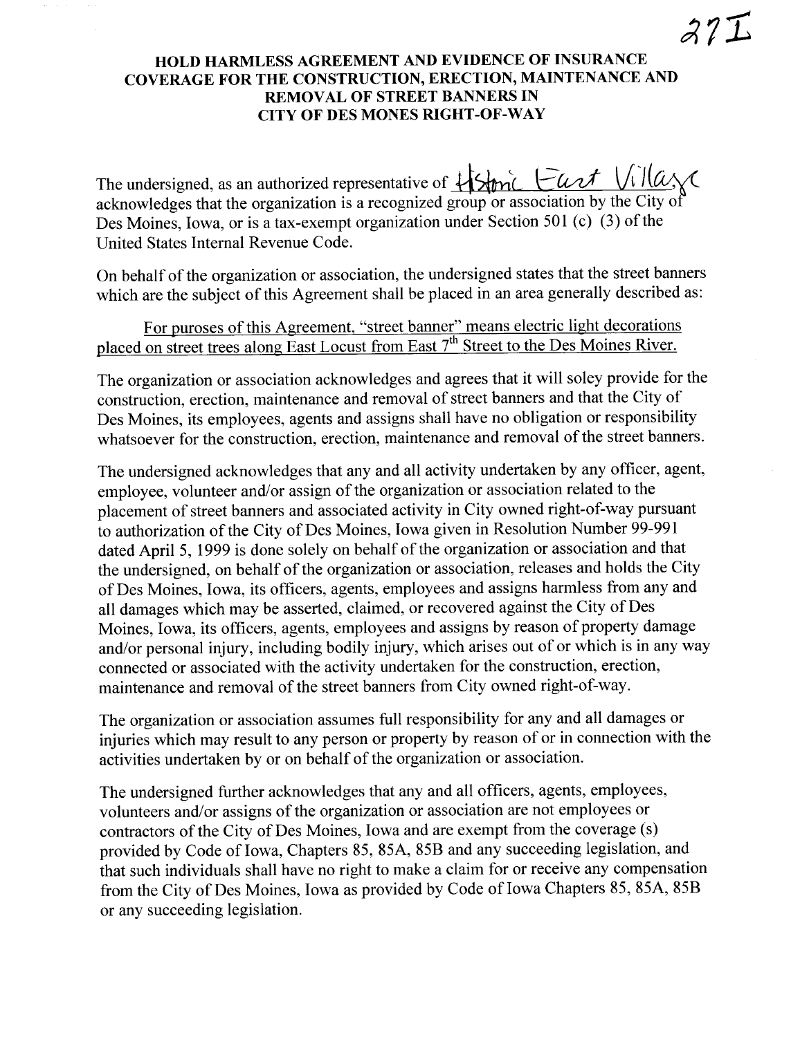## HOLD HARMLESS AGREEMENT AND EVIDENCE OF INSURANCE COVERAGE FOR THE CONSTRUCTION, ERECTION, MAINTENANCE AND REMOVAL OF STREET BANNERS IN CITY OF DES MONES RIGHT-OF-WAY

The undersigned, as an authorized representative of  $\bigcup_{\alpha}$   $\bigcup_{\alpha}$   $\bigcup_{\alpha}$   $\bigcup_{\alpha}$   $\bigcup_{\alpha}$   $\bigcup_{\alpha}$ acknowledges that the organization is a recognized group or association by the City of Des Moines, Iowa, or is a tax-exempt organization under Section 501 (c) (3) of the United States Internal Revenue Code.

On behalf of the organization or association, the undersigned states that the street banners which are the subject of this Agreement shall be placed in an area generally described as:

## For puroses of this Agreement, "street banner" means electric light decorations placed on street trees along East Locust from East 7<sup>th</sup> Street to the Des Moines River.

The organization or association acknowledges and agrees that it will soley provide for the construction, erection, maintenance and removal of street banners and that the City of Des Moines, its employees, agents and assigns shall have no obligation or responsibility whatsoever for the construction, erection, maintenance and removal of the street banners.

The undersigned acknowledges that any and all activity undertaken by any officer, agent, employee, volunteer and/or assign of the organization or association related to the placement of street banners and associated activity in City owned right-of-way pursuant to authorization of the City of Des Moines, Iowa given in Resolution Number 99-991 dated April 5, i 999 is done solely on behalf of the organization or association and that the undersigned, on behalf of the organization or association, releases and holds the City of Des Moines, Iowa, its officers, agents, employees and assigns harmless from any and all damages which may be asserted, claimed, or recovered against the City of Des Moines, Iowa, its officers, agents, employees and assigns by reason of property damage and/or personal injury, including bodily injury, which arises out of or which is in any way connected or associated with the activity undertaken for the construction, erection, maintenance and removal of the street banners from City owned right-of-way.

The organization or association assumes full responsibility for any and all damages or injuries which may result to any person or property by reason of or in connection with the activities undertaken by or on behalf of the organization or association.

The undersigned further acknowledges that any and all officers, agents, employees, volunteers and/or assigns of the organization or association are not employees or contractors of the City of Des Moines, Iowa and are exempt from the coverage (s) provided by Code of Iowa, Chapters 85, 85A, 85B and any succeeding legislation, and that such individuals shall have no right to make a claim for or receive any compensation from the City of Des Moines, Iowa as provided by Code of Iowa Chapters 85, 85A, 85B or any succeeding legislation.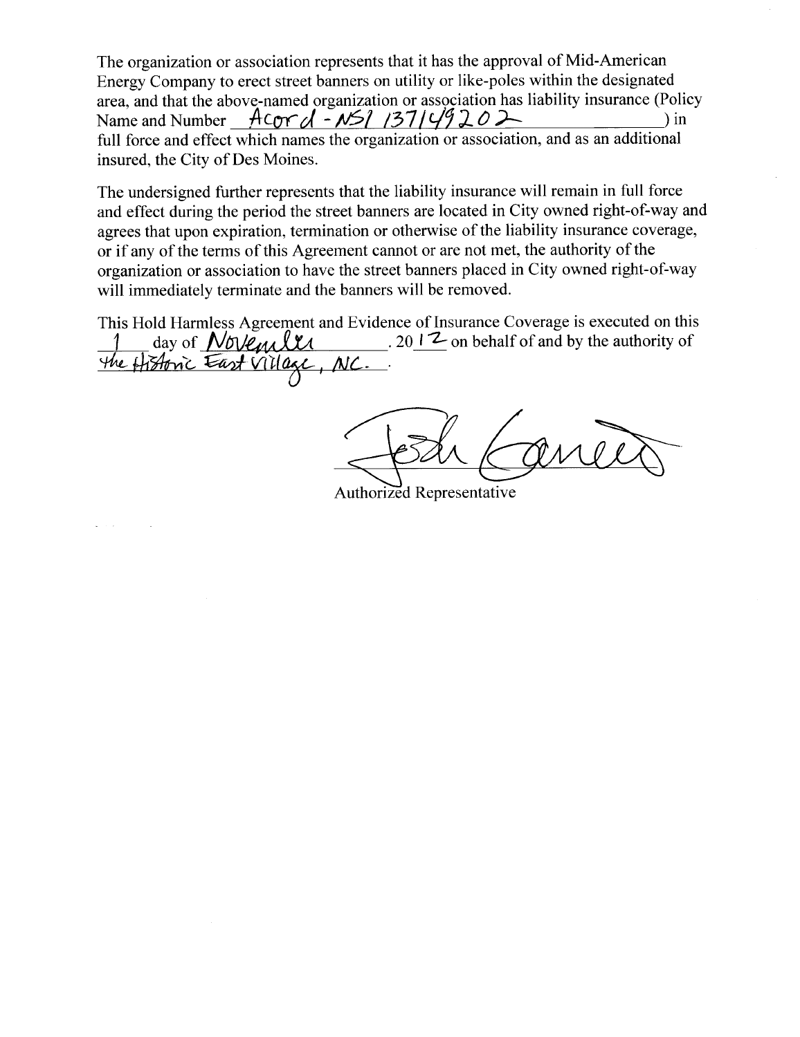The organization or association represents that it has the approval of Mid-American Energy Company to erect street banners on utility or like-poles within the designated area, and that the above-named organization or association has liability insurance (Policy Name and Number  $Acor/d - N51 / 37/ \sqrt{920}$  : ) in full force and effect which names the organization or association, and as an additional insured, the City of Des Moines.

The undersigned further represents that the liability insurance will remain in full force and effect during the period the street banners are located in City owned right-of-way and agrees that upon expiration, termination or otherwise of the liability insurance coverage, or if any of the terms of this Agreement cannot or are not met, the authority of the organization or association to have the street banners placed in City owned right-of-way will immediately terminate and the banners will be removed.

This Hold Harmless Agreement and Evidence of Insurance Coverage is executed on this  $\frac{1}{1}$  day of  $\frac{N\delta V}{\delta M}$   $\frac{N\delta V}{\delta M}$ . 2012 on behalf of and by the authority of The Historic East Village, NC.

Authorized Representative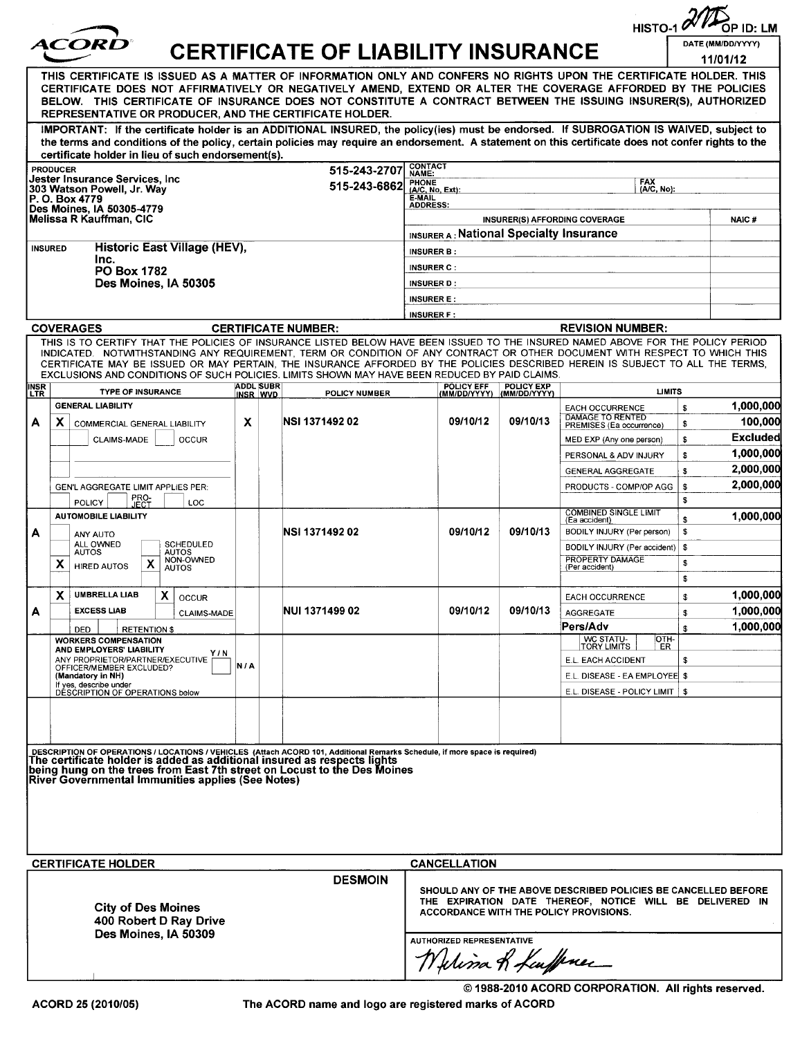|                                                                                               |                     | <i><b>ACORD</b></i>                                                                                                                                                                                                                                                                         |     |                              |                                           |                                                                                                    |                                                | HISTO-1                                                        |                 | )P ID: LM<br>DATE (MM/DD/YYYY) |
|-----------------------------------------------------------------------------------------------|---------------------|---------------------------------------------------------------------------------------------------------------------------------------------------------------------------------------------------------------------------------------------------------------------------------------------|-----|------------------------------|-------------------------------------------|----------------------------------------------------------------------------------------------------|------------------------------------------------|----------------------------------------------------------------|-----------------|--------------------------------|
|                                                                                               |                     |                                                                                                                                                                                                                                                                                             |     |                              | <b>CERTIFICATE OF LIABILITY INSURANCE</b> |                                                                                                    |                                                |                                                                |                 | 11/01/12                       |
|                                                                                               |                     | THIS CERTIFICATE IS ISSUED AS A MATTER OF INFORMATION ONLY AND CONFERS NO RIGHTS UPON THE CERTIFICATE HOLDER. THIS                                                                                                                                                                          |     |                              |                                           |                                                                                                    |                                                |                                                                |                 |                                |
|                                                                                               |                     | CERTIFICATE DOES NOT AFFIRMATIVELY OR NEGATIVELY AMEND, EXTEND OR ALTER THE COVERAGE AFFORDED BY THE POLICIES<br>BELOW. THIS CERTIFICATE OF INSURANCE DOES NOT CONSTITUTE A CONTRACT BETWEEN THE ISSUING INSURER(S), AUTHORIZED                                                             |     |                              |                                           |                                                                                                    |                                                |                                                                |                 |                                |
|                                                                                               |                     | REPRESENTATIVE OR PRODUCER, AND THE CERTIFICATE HOLDER.                                                                                                                                                                                                                                     |     |                              |                                           |                                                                                                    |                                                |                                                                |                 |                                |
|                                                                                               |                     | IMPORTANT: If the certificate holder is an ADDITIONAL INSURED, the policy(ies) must be endorsed. If SUBROGATION IS WAIVED, subject to<br>the terms and conditions of the policy, certain policies may require an endorsement. A statement on this certificate does not confer rights to the |     |                              |                                           |                                                                                                    |                                                |                                                                |                 |                                |
|                                                                                               |                     | certificate holder in lieu of such endorsement(s).                                                                                                                                                                                                                                          |     |                              |                                           | CONTACT                                                                                            |                                                |                                                                |                 |                                |
| <b>PRODUCER</b>                                                                               |                     | Jester Insurance Services. Inc                                                                                                                                                                                                                                                              |     |                              | 515-243-2707<br>515-243-6862              | NAME:<br><b>PHONE</b>                                                                              |                                                | FAX                                                            |                 |                                |
| 303 Watson Powell, Jr. Way<br>P. O. Box 4779                                                  |                     |                                                                                                                                                                                                                                                                                             |     |                              |                                           | (A/C, No):<br>(A/C, No, Ext):<br><b>E-MAIL</b><br><b>ADDRESS:</b>                                  |                                                |                                                                |                 |                                |
| Des Moines, IA 50305-4779<br>Melissa R Kauffman, CIC                                          |                     |                                                                                                                                                                                                                                                                                             |     |                              | INSURER(S) AFFORDING COVERAGE             |                                                                                                    |                                                |                                                                | NAIC#           |                                |
|                                                                                               |                     |                                                                                                                                                                                                                                                                                             |     |                              |                                           | <b>INSURER A: National Specialty Insurance</b>                                                     |                                                |                                                                |                 |                                |
| <b>INSURED</b>                                                                                |                     | Historic East Village (HEV),<br>Inc.                                                                                                                                                                                                                                                        |     |                              |                                           | <b>INSURER B:</b>                                                                                  |                                                |                                                                |                 |                                |
|                                                                                               |                     | <b>PO Box 1782</b><br>Des Moines, IA 50305                                                                                                                                                                                                                                                  |     |                              |                                           | <b>INSURER C:</b><br><b>INSURER D:</b>                                                             |                                                |                                                                |                 |                                |
|                                                                                               |                     |                                                                                                                                                                                                                                                                                             |     |                              |                                           | <b>INSURER E:</b>                                                                                  |                                                |                                                                |                 |                                |
|                                                                                               |                     |                                                                                                                                                                                                                                                                                             |     |                              |                                           | <b>INSURER F:</b>                                                                                  |                                                |                                                                |                 |                                |
|                                                                                               |                     | <b>COVERAGES</b><br>THIS IS TO CERTIFY THAT THE POLICIES OF INSURANCE LISTED BELOW HAVE BEEN ISSUED TO THE INSURED NAMED ABOVE FOR THE POLICY PERIOD                                                                                                                                        |     |                              | <b>CERTIFICATE NUMBER:</b>                |                                                                                                    |                                                | <b>REVISION NUMBER:</b>                                        |                 |                                |
|                                                                                               |                     | INDICATED. NOTWITHSTANDING ANY REQUIREMENT, TERM OR CONDITION OF ANY CONTRACT OR OTHER DOCUMENT WITH RESPECT TO WHICH THIS<br>CERTIFICATE MAY BE ISSUED OR MAY PERTAIN, THE INSURANCE AFFORDED BY THE POLICIES DESCRIBED HEREIN IS SUBJECT TO ALL THE TERMS,                                |     |                              |                                           |                                                                                                    |                                                |                                                                |                 |                                |
|                                                                                               |                     | EXCLUSIONS AND CONDITIONS OF SUCH POLICIES. LIMITS SHOWN MAY HAVE BEEN REDUCED BY PAID CLAIMS.                                                                                                                                                                                              |     |                              |                                           |                                                                                                    |                                                |                                                                |                 |                                |
| <b>INSR<br/>LTR</b>                                                                           |                     | <b>TYPE OF INSURANCE</b>                                                                                                                                                                                                                                                                    |     | <b>ADDL SUBR</b><br>INSR WVD | POLICY NUMBER                             | <b>POLICY EFF</b>                                                                                  | <b>POLICY EXP</b><br>(MM/DD/YYYY) (MM/DD/YYYY) | LIMITS                                                         |                 |                                |
| А                                                                                             | X                   | <b>GENERAL LIABILITY</b><br>COMMERCIAL GENERAL LIABILITY                                                                                                                                                                                                                                    | X   |                              | NSI 137149202                             | 09/10/12                                                                                           | 09/10/13                                       | <b>EACH OCCURRENCE</b><br>DAMAGE TO RENTED                     | \$<br>\$        | 1,000,000<br>100,000           |
|                                                                                               |                     | <b>CLAIMS-MADE</b><br><b>OCCUR</b>                                                                                                                                                                                                                                                          |     |                              |                                           |                                                                                                    |                                                | PREMISES (Ea occurrence)<br>MED EXP (Any one person)           | \$              | Excluded                       |
|                                                                                               |                     |                                                                                                                                                                                                                                                                                             |     |                              |                                           |                                                                                                    |                                                | PERSONAL & ADV INJURY                                          | \$              | 1,000,000                      |
|                                                                                               |                     |                                                                                                                                                                                                                                                                                             |     |                              |                                           |                                                                                                    |                                                | <b>GENERAL AGGREGATE</b>                                       | \$              | 2,000,000                      |
| GEN'L AGGREGATE LIMIT APPLIES PER:                                                            |                     | PRO-<br>JECT                                                                                                                                                                                                                                                                                |     |                              |                                           |                                                                                                    |                                                | PRODUCTS - COMP/OP AGG                                         | \$<br>\$        | 2,000,000                      |
|                                                                                               |                     | <b>POLICY</b><br>LOC<br><b>AUTOMOBILE LIABILITY</b>                                                                                                                                                                                                                                         |     |                              |                                           |                                                                                                    |                                                | <b>COMBINED SINGLE LIMIT</b><br>(Ea accident)                  | ${\bf \hat{s}}$ | 1,000,000                      |
| A                                                                                             |                     | ANY AUTO                                                                                                                                                                                                                                                                                    |     |                              | NSI 137149202                             | 09/10/12                                                                                           | 09/10/13                                       | BODILY INJURY (Per person)                                     | \$              |                                |
|                                                                                               |                     | ALL OWNED<br><b>SCHEDULED</b><br>AUTOS<br><b>AUTOS</b><br><b>NON-OWNED</b>                                                                                                                                                                                                                  |     |                              |                                           |                                                                                                    |                                                | BODILY INJURY (Per accident)   \$<br>PROPERTY DAMAGE           |                 |                                |
|                                                                                               | x.                  | X.<br><b>HIRED AUTOS</b><br><b>AUTOS</b>                                                                                                                                                                                                                                                    |     |                              |                                           |                                                                                                    |                                                | (Per accident)                                                 | \$<br>\$        |                                |
|                                                                                               | X                   | <b>UMBRELLA LIAB</b><br>$\mathsf{x}$<br><b>OCCUR</b>                                                                                                                                                                                                                                        |     |                              |                                           |                                                                                                    |                                                | <b>EACH OCCURRENCE</b>                                         | \$              | 1,000,000                      |
| A                                                                                             |                     | <b>EXCESS LIAB</b><br><b>CLAIMS-MADE</b>                                                                                                                                                                                                                                                    |     |                              | NUI 1371499 02                            | 09/10/12                                                                                           | 09/10/13                                       | <b>AGGREGATE</b>                                               | \$              | 1,000,000                      |
|                                                                                               |                     | DED<br><b>RETENTION \$</b><br><b>WORKERS COMPENSATION</b>                                                                                                                                                                                                                                   |     |                              |                                           |                                                                                                    |                                                | Pers/Adv<br>WC STATU-<br>OTH-                                  | \$              | 1,000,000                      |
|                                                                                               |                     | AND EMPLOYERS' LIABILITY<br>Y / N<br>ANY PROPRIETOR/PARTNER/EXECUTIVE                                                                                                                                                                                                                       |     |                              |                                           |                                                                                                    |                                                | <b>TORY LIMITS</b><br>ER.<br>E.L. EACH ACCIDENT                | \$              |                                |
|                                                                                               |                     | OFFICER/MEMBER EXCLUDED?<br>(Mandatory in NH)                                                                                                                                                                                                                                               | N/A |                              |                                           |                                                                                                    |                                                | E.L. DISEASE - EA EMPLOYEE \$                                  |                 |                                |
|                                                                                               |                     | If yes, describe under<br>DESCRIPTION OF OPERATIONS below                                                                                                                                                                                                                                   |     |                              |                                           |                                                                                                    |                                                | E.L. DISEASE - POLICY LIMIT   \$                               |                 |                                |
|                                                                                               |                     |                                                                                                                                                                                                                                                                                             |     |                              |                                           |                                                                                                    |                                                |                                                                |                 |                                |
|                                                                                               |                     |                                                                                                                                                                                                                                                                                             |     |                              |                                           |                                                                                                    |                                                |                                                                |                 |                                |
|                                                                                               |                     | DESCRIPTION OF OPERATIONS / LOCATIONS / VEHICLES (Attach ACORD 101, Additional Remarks Schedule, if more space is required)<br>The certificate holder is added as additional insured as respects lights                                                                                     |     |                              |                                           |                                                                                                    |                                                |                                                                |                 |                                |
|                                                                                               |                     | being hung on the trees from East 7th street on Locust to the Des Moines<br>River Governmental Immunities applies (See Notes)                                                                                                                                                               |     |                              |                                           |                                                                                                    |                                                |                                                                |                 |                                |
|                                                                                               |                     |                                                                                                                                                                                                                                                                                             |     |                              |                                           |                                                                                                    |                                                |                                                                |                 |                                |
|                                                                                               |                     |                                                                                                                                                                                                                                                                                             |     |                              |                                           |                                                                                                    |                                                |                                                                |                 |                                |
|                                                                                               |                     |                                                                                                                                                                                                                                                                                             |     |                              |                                           |                                                                                                    |                                                |                                                                |                 |                                |
|                                                                                               |                     |                                                                                                                                                                                                                                                                                             |     |                              |                                           |                                                                                                    |                                                |                                                                |                 |                                |
|                                                                                               |                     | <b>CERTIFICATE HOLDER</b>                                                                                                                                                                                                                                                                   |     |                              |                                           | <b>CANCELLATION</b>                                                                                |                                                |                                                                |                 |                                |
| <b>DESMOIN</b><br><b>City of Des Moines</b><br>400 Robert D Ray Drive<br>Des Moines, IA 50309 |                     |                                                                                                                                                                                                                                                                                             |     |                              |                                           |                                                                                                    |                                                | SHOULD ANY OF THE ABOVE DESCRIBED POLICIES BE CANCELLED BEFORE |                 |                                |
|                                                                                               |                     |                                                                                                                                                                                                                                                                                             |     |                              |                                           | THE EXPIRATION DATE THEREOF, NOTICE WILL BE DELIVERED IN<br>ACCORDANCE WITH THE POLICY PROVISIONS. |                                                |                                                                |                 |                                |
|                                                                                               |                     |                                                                                                                                                                                                                                                                                             |     |                              |                                           |                                                                                                    |                                                |                                                                |                 |                                |
|                                                                                               | Willison R Keuffner |                                                                                                                                                                                                                                                                                             |     |                              |                                           |                                                                                                    |                                                |                                                                |                 |                                |
|                                                                                               |                     |                                                                                                                                                                                                                                                                                             |     |                              |                                           |                                                                                                    |                                                | © 1988-2010 ACORD CORPORATION. All rights reserved.            |                 |                                |

The ACORD name and logo are registered marks of ACORD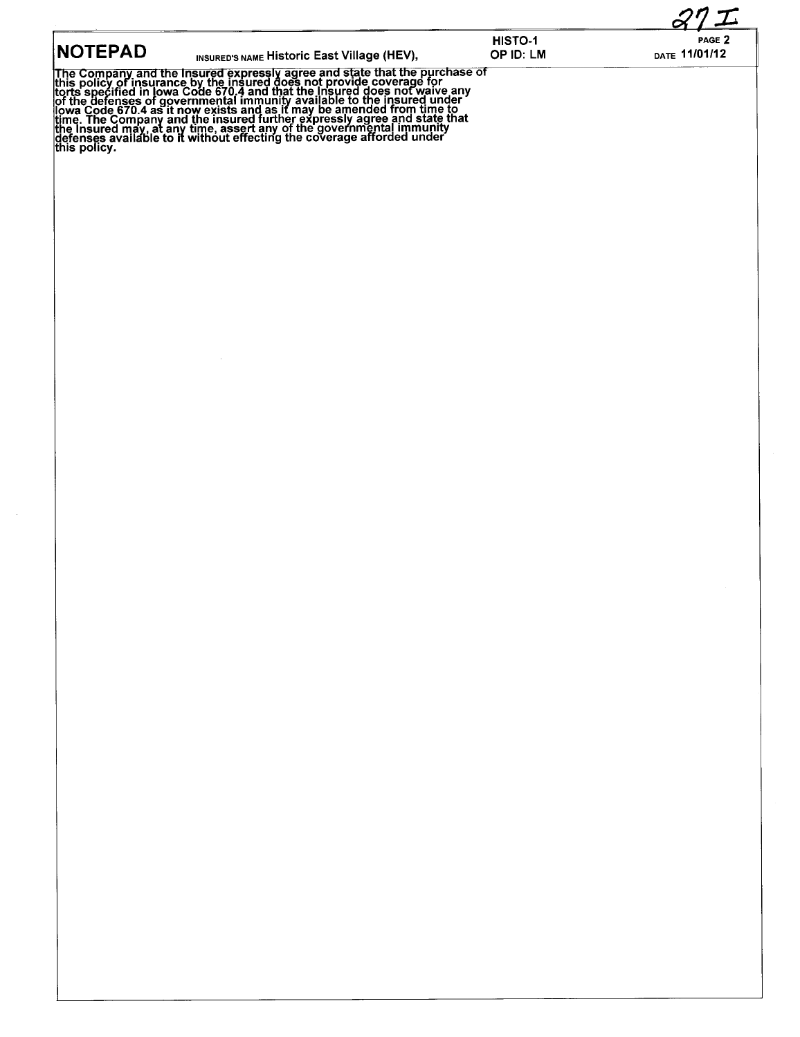| <b>NOTEPAD</b> | INSURED'S NAME Historic East Village (HEV),                                                                                                                                                                                             | HISTO-1<br>OP ID: LM | PAGE 2<br>DATE 11/01/12 |
|----------------|-----------------------------------------------------------------------------------------------------------------------------------------------------------------------------------------------------------------------------------------|----------------------|-------------------------|
|                | The Company and the Insured expressly agree and state that the purchase of<br>this policy of insurance by the insured does not provide coverage for<br>torts specified in lowa Code 670.4 and that the Insured does not waive any<br>of |                      |                         |
|                |                                                                                                                                                                                                                                         |                      |                         |
|                |                                                                                                                                                                                                                                         |                      |                         |
|                |                                                                                                                                                                                                                                         |                      |                         |
|                |                                                                                                                                                                                                                                         |                      |                         |
|                |                                                                                                                                                                                                                                         |                      |                         |
|                |                                                                                                                                                                                                                                         |                      |                         |
|                |                                                                                                                                                                                                                                         |                      |                         |
|                |                                                                                                                                                                                                                                         |                      |                         |